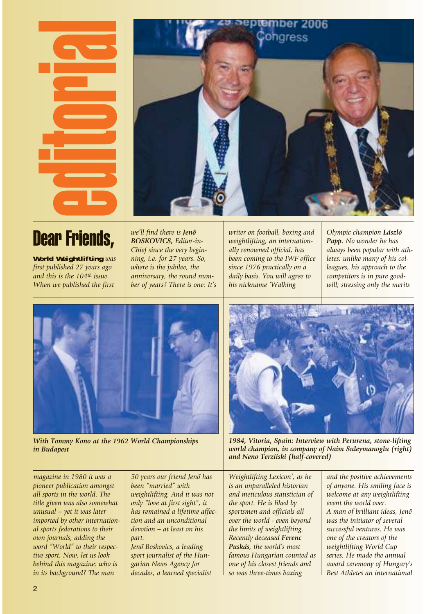



## Dear Friends,

World Weightlifting *was first published 27 years ago and this is the 104th issue. When we published the first*

*we'll find there is Jenô BOSKOVICS, Editor-in-Chief since the very beginning, i.e. for 27 years. So, where is the jubilee, the anniversary, the round number of years? There is one: It's*

*writer on football, boxing and weightlifting, an internationally renowned official, has been coming to the IWF office since 1976 practically on a daily basis. You will agree to his nickname 'Walking*

*Olympic champion László Papp. No wonder he has always been popular with athletes: unlike many of his colleagues, his approach to the competitors is in pure goodwill; stressing only the merits*



*With Tommy Kono at the 1962 World Championships in Budapest*

*magazine in 1980 it was a pioneer publication amongst all sports in the world. The title given was also somewhat unusual – yet it was later imported by other international sports federations to their own journals, adding the word "World" to their respective sport. Now, let us look 50 years our friend Jenô has been "married" with part.* 

*weightlifting. And it was not only "love at first sight", it has remained a lifetime affection and an unconditional devotion – at least on his*

*Jenô Boskovics, a leading sport journalist of the Hungarian News Agency for decades, a learned specialist*



*1984, Vitoria, Spain: Interview with Perurena, stone-lifting world champion, in company of Naim Suleymanoglu (right) and Neno Terziiski (half-covered)*

*Weightlifting Lexicon', as he is an unparalleled historian and meticulous statistician of the sport. He is liked by sportsmen and officials all over the world - even beyond the limits of weightlifting. Recently deceased Ferenc Puskás, the world's most famous Hungarian counted as one of his closest friends and so was three-times boxing*

*and the positive achievements of anyone. His smiling face is welcome at any weightlifting event the world over. A man of brilliant ideas, Jenô was the initiator of several successful ventures. He was one of the creators of the weightlifting World Cup series. He made the annual award ceremony of Hungary's Best Athletes an international*

*behind this magazine: who is in its background? The man*